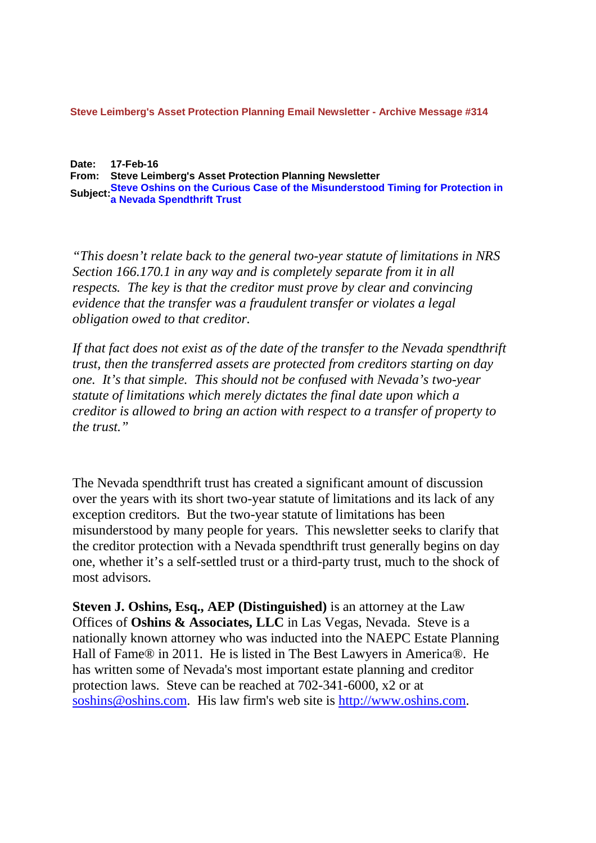**Steve Leimberg's Asset Protection Planning Email Newsletter - Archive Message #314**

**Date: 17-Feb-16 From: Steve Leimberg's Asset Protection Planning Newsletter Subject:Steve Oshins on the Curious Case of the Misunderstood Timing for Protection in a Nevada Spendthrift Trust**

*"This doesn't relate back to the general two-year statute of limitations in NRS Section 166.170.1 in any way and is completely separate from it in all respects. The key is that the creditor must prove by clear and convincing evidence that the transfer was a fraudulent transfer or violates a legal obligation owed to that creditor.*

If that fact does not exist as of the date of the transfer to the Nevada spendthrift *trust, then the transferred assets are protected from creditors starting on day one. It's that simple. This should not be confused with Nevada's two-year statute of limitations which merely dictates the final date upon which a creditor is allowed to bring an action with respect to a transfer of property to the trust."*

The Nevada spendthrift trust has created a significant amount of discussion over the years with its short two-year statute of limitations and its lack of any exception creditors. But the two-year statute of limitations has been misunderstood by many people for years. This newsletter seeks to clarify that the creditor protection with a Nevada spendthrift trust generally begins on day one, whether it's a self-settled trust or a third-party trust, much to the shock of most advisors.

**Steven J. Oshins, Esq., AEP (Distinguished)** is an attorney at the Law Offices of **Oshins & Associates, LLC** in Las Vegas, Nevada. Steve is a nationally known attorney who was inducted into the NAEPC Estate Planning Hall of Fame® in 2011. He is listed in The Best Lawyers in America®. He has written some of Nevada's most important estate planning and creditor protection laws. Steve can be reached at 702-341-6000, x2 or at soshins@oshins.com. His law firm's web site is http://www.oshins.com.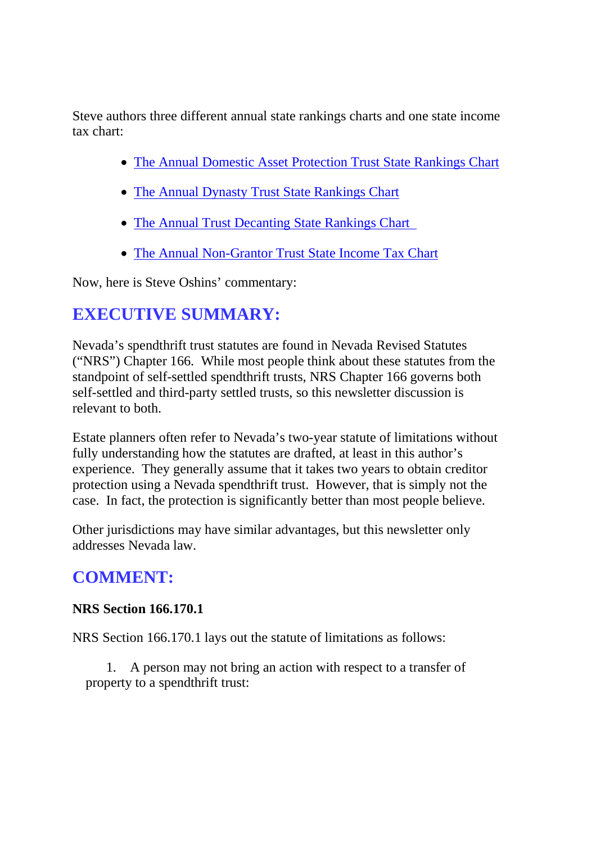Steve authors three different annual state rankings charts and one state income tax chart:

- The Annual Domestic Asset Protection Trust State Rankings Chart
- The Annual Dynasty Trust State Rankings Chart
- The Annual Trust Decanting State Rankings Chart
- The Annual Non-Grantor Trust State Income Tax Chart

Now, here is Steve Oshins' commentary:

# **EXECUTIVE SUMMARY:**

Nevada's spendthrift trust statutes are found in Nevada Revised Statutes ("NRS") Chapter 166. While most people think about these statutes from the standpoint of self-settled spendthrift trusts, NRS Chapter 166 governs both self-settled and third-party settled trusts, so this newsletter discussion is relevant to both.

Estate planners often refer to Nevada's two-year statute of limitations without fully understanding how the statutes are drafted, at least in this author's experience. They generally assume that it takes two years to obtain creditor protection using a Nevada spendthrift trust. However, that is simply not the case. In fact, the protection is significantly better than most people believe.

Other jurisdictions may have similar advantages, but this newsletter only addresses Nevada law.

## **COMMENT:**

### **NRS Section 166.170.1**

NRS Section 166.170.1 lays out the statute of limitations as follows:

1. A person may not bring an action with respect to a transfer of property to a spendthrift trust: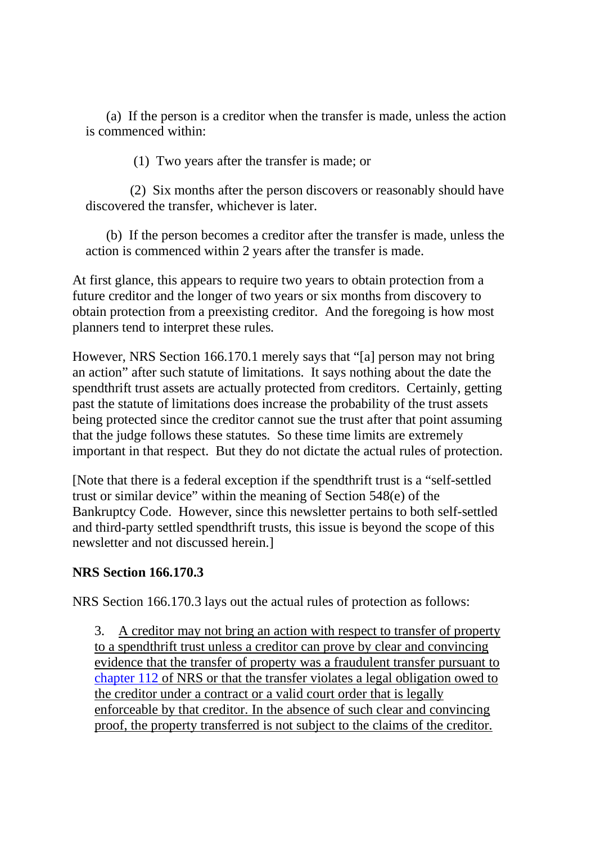(a) If the person is a creditor when the transfer is made, unless the action is commenced within:

(1) Two years after the transfer is made; or

(2) Six months after the person discovers or reasonably should have discovered the transfer, whichever is later.

(b) If the person becomes a creditor after the transfer is made, unless the action is commenced within 2 years after the transfer is made.

At first glance, this appears to require two years to obtain protection from a future creditor and the longer of two years or six months from discovery to obtain protection from a preexisting creditor. And the foregoing is how most planners tend to interpret these rules.

However, NRS Section 166.170.1 merely says that "[a] person may not bring an action" after such statute of limitations. It says nothing about the date the spendthrift trust assets are actually protected from creditors. Certainly, getting past the statute of limitations does increase the probability of the trust assets being protected since the creditor cannot sue the trust after that point assuming that the judge follows these statutes. So these time limits are extremely important in that respect. But they do not dictate the actual rules of protection.

[Note that there is a federal exception if the spendthrift trust is a "self-settled trust or similar device" within the meaning of Section 548(e) of the Bankruptcy Code. However, since this newsletter pertains to both self-settled and third-party settled spendthrift trusts, this issue is beyond the scope of this newsletter and not discussed herein.]

### **NRS Section 166.170.3**

NRS Section 166.170.3 lays out the actual rules of protection as follows:

3. A creditor may not bring an action with respect to transfer of property to a spendthrift trust unless a creditor can prove by clear and convincing evidence that the transfer of property was a fraudulent transfer pursuant to chapter 112 of NRS or that the transfer violates a legal obligation owed to the creditor under a contract or a valid court order that is legally enforceable by that creditor. In the absence of such clear and convincing proof, the property transferred is not subject to the claims of the creditor.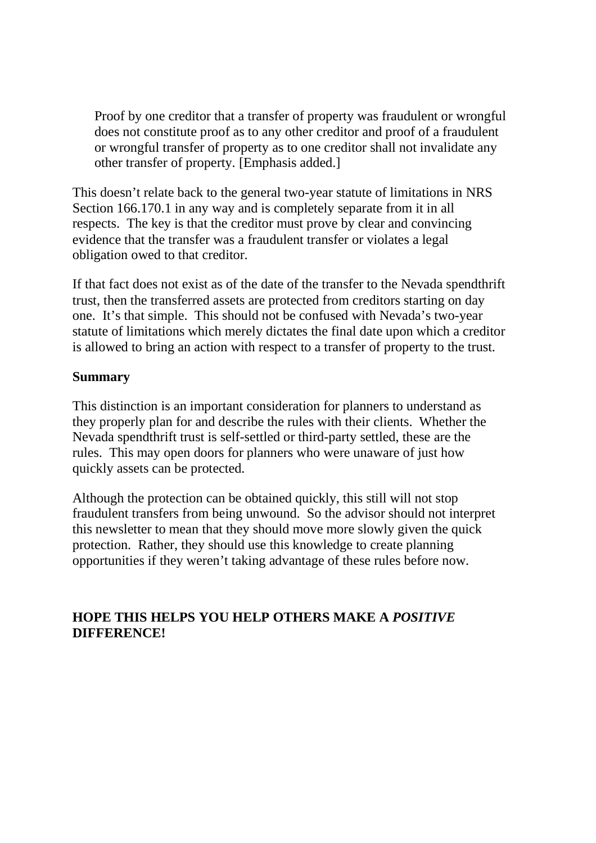Proof by one creditor that a transfer of property was fraudulent or wrongful does not constitute proof as to any other creditor and proof of a fraudulent or wrongful transfer of property as to one creditor shall not invalidate any other transfer of property. [Emphasis added.]

This doesn't relate back to the general two-year statute of limitations in NRS Section 166.170.1 in any way and is completely separate from it in all respects. The key is that the creditor must prove by clear and convincing evidence that the transfer was a fraudulent transfer or violates a legal obligation owed to that creditor.

If that fact does not exist as of the date of the transfer to the Nevada spendthrift trust, then the transferred assets are protected from creditors starting on day one. It's that simple. This should not be confused with Nevada's two-year statute of limitations which merely dictates the final date upon which a creditor is allowed to bring an action with respect to a transfer of property to the trust.

#### **Summary**

This distinction is an important consideration for planners to understand as they properly plan for and describe the rules with their clients. Whether the Nevada spendthrift trust is self-settled or third-party settled, these are the rules. This may open doors for planners who were unaware of just how quickly assets can be protected.

Although the protection can be obtained quickly, this still will not stop fraudulent transfers from being unwound. So the advisor should not interpret this newsletter to mean that they should move more slowly given the quick protection. Rather, they should use this knowledge to create planning opportunities if they weren't taking advantage of these rules before now.

### **HOPE THIS HELPS YOU HELP OTHERS MAKE A** *POSITIVE* **DIFFERENCE!**